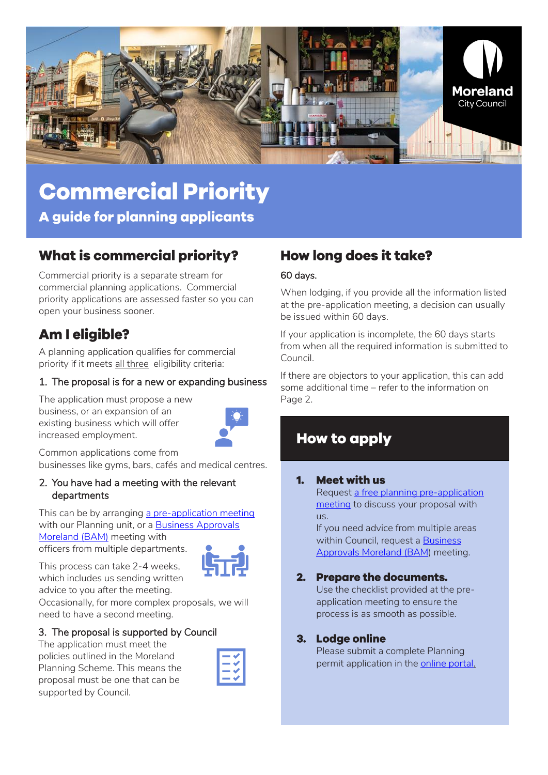

# **Commercial Priority**

A guide for planning applicants

# **What is commercial priority?**

Commercial priority is a separate stream for commercial planning applications. Commercial priority applications are assessed faster so you can open your business sooner.

# **Am I eligible?**

A planning application qualifies for commercial priority if it meets all three eligibility criteria:

#### 1. The proposal is for a new or expanding business

The application must propose a new business, or an expansion of an existing business which will offer increased employment.



Common applications come from businesses like gyms, bars, cafés and medical centres.

#### 2. You have had a meeting with the relevant departments

This can be by arranging [a pre-application meeting](https://www.moreland.vic.gov.au/planning-building/planning-permits/when-you-need-a-planning-permit/commercial-planning-permit-applications/) with our Planning unit, or a **Business Approvals** [Moreland \(BAM\)](https://businessmoreland.com.au/support/opening-or-expanding-your-business/opening-a-new-business/) meeting with officers from multiple departments.



This process can take 2-4 weeks, which includes us sending written



advice to you after the meeting. Occasionally, for more complex proposals, we will

need to have a second meeting.

#### 3. The proposal is supported by Council

The application must meet the policies outlined in the Moreland Planning Scheme. This means the proposal must be one that can be supported by Council.

# **How long does it take?**

#### 60 days.

When lodging, if you provide all the information listed at the pre-application meeting, a decision can usually be issued within 60 days.

If your application is incomplete, the 60 days starts from when all the required information is submitted to Council.

If there are objectors to your application, this can add some additional time – refer to the information on Page 2.

# **How to apply**

#### **Meet with us**  $1.$

Request a free planning [pre-application](https://www.moreland.vic.gov.au/planning-building/planning-permits/when-you-need-a-planning-permit/commercial-planning-permit-applications/)  [meeting](https://www.moreland.vic.gov.au/planning-building/planning-permits/when-you-need-a-planning-permit/commercial-planning-permit-applications/) to discuss your proposal with us.

If you need advice from multiple areas within Council, request a Business [Approvals Moreland \(BAM\)](https://businessmoreland.com.au/support/opening-or-expanding-your-business/opening-a-new-business/) meeting.

## 2. Prepare the documents.

Use the checklist provided at the preapplication meeting to ensure the process is as smooth as possible.

#### 3. Lodge online

Please submit a complete Planning permit application in the [online portal.](https://www.moreland.vic.gov.au/planning-building/planning-permits/planning-process/submit-a-planning-permit-application/)